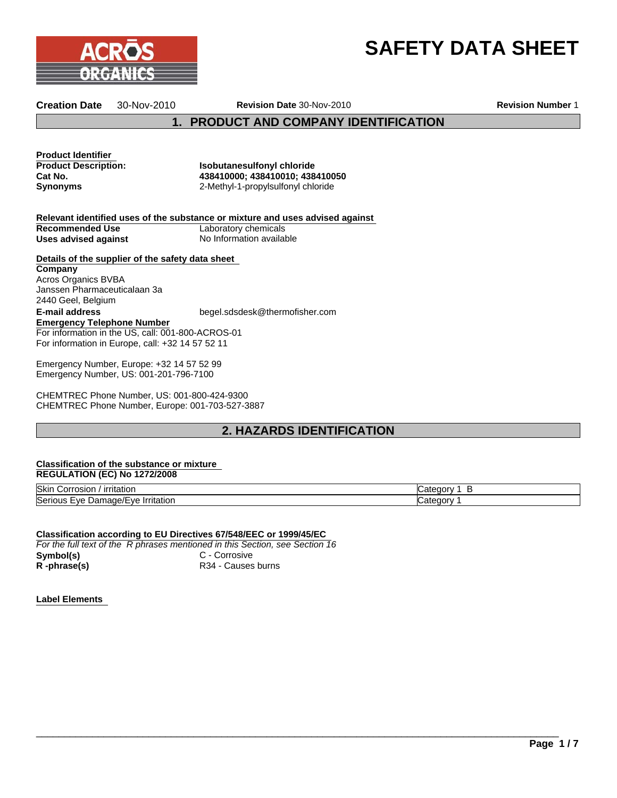



**Creation Date** 30-Nov-2010 **Revision Date** 30-Nov-2010

**Revision Number** 1

**1. PRODUCT AND COMPANY IDENTIFICATION**

**Product Identifier<br>Product Description:** 

**Isobutanesulfonyl chloride Cat No. 438410000; 438410010; 438410050 Synonyms** 2-Methyl-1-propylsulfonyl chloride

**Relevant identified uses of the substance or mixture and uses advised against Recommended Use**<br> **Uses advised against**<br> **Uses advised against**<br> **No Information available Uses advised against** 

**Details of the supplier of the safety data sheet E-mail address** begel.sdsdesk@thermofisher.com **Emergency Telephone Number** For information in the US, call: 001-800-ACROS-01 For information in Europe, call: +32 14 57 52 11 **Company** Acros Organics BVBA Janssen Pharmaceuticalaan 3a 2440 Geel, Belgium

Emergency Number, Europe: +32 14 57 52 99 Emergency Number, US: 001-201-796-7100

CHEMTREC Phone Number, US: 001-800-424-9300 CHEMTREC Phone Number, Europe: 001-703-527-3887

# **2. HAZARDS IDENTIFICATION**

#### **Classification of the substance or mixture REGULATION (EC) No 1272/2008**

| Skir<br><u>ırrıtatıor</u><br>osior<br>orrom -                          | ı<br>ונזר |
|------------------------------------------------------------------------|-----------|
| Serious<br>Irritation<br>⊣/םמפי<br>۰۱/۴<br>$\sim$<br>.)ar<br>71<br>7uə | эо        |

\_\_\_\_\_\_\_\_\_\_\_\_\_\_\_\_\_\_\_\_\_\_\_\_\_\_\_\_\_\_\_\_\_\_\_\_\_\_\_\_\_\_\_\_\_\_\_\_\_\_\_\_\_\_\_\_\_\_\_\_\_\_\_\_\_\_\_\_\_\_\_\_\_\_\_\_\_\_\_\_\_\_\_\_\_\_\_\_\_\_\_\_\_

**Classification according to EU Directives 67/548/EEC or 1999/45/EC**  *For the full text of the R phrases mentioned in this Section, see Section 16* **Symbol(s)** C - Corrosive R -phrase(s) R34 - Causes burns

**Label Elements**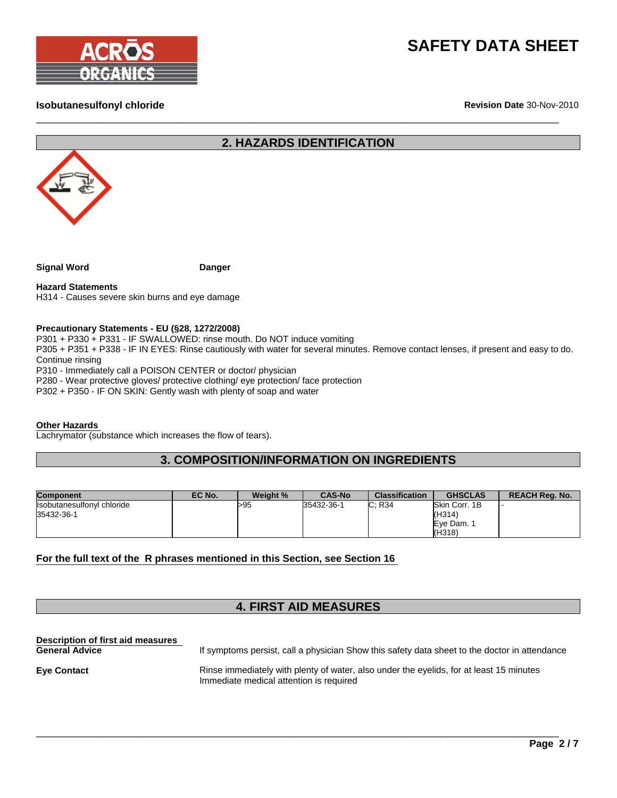



### **Isobutanesulfonyl chloride**

**Revision Date** 30-Nov-2010

# **2. HAZARDS IDENTIFICATION**

 $\Box$ 



| Danger |
|--------|
|        |

**Hazard Statements** H314 - Causes severe skin burns and eye damage

#### **Precautionary Statements - EU (§28, 1272/2008)**

P301 + P330 + P331 - IF SWALLOWED: rinse mouth. Do NOT induce vomiting P305 + P351 + P338 - IF IN EYES: Rinse cautiously with water for several minutes. Remove contact lenses, if present and easy to do.

Continue rinsing

P310 - Immediately call a POISON CENTER or doctor/ physician P280 - Wear protective gloves/ protective clothing/ eye protection/ face protection

P302 + P350 - IF ON SKIN: Gently wash with plenty of soap and water

#### **Other Hazards**

Lachrymator (substance which increases the flow of tears).

## **3. COMPOSITION/INFORMATION ON INGREDIENTS**

| <b>Component</b>                                | EC No. | Weight % | <b>CAS-No</b> | <b>Classification</b> | <b>GHSCLAS</b>                                | <b>REACH Rea. No.</b> |
|-------------------------------------------------|--------|----------|---------------|-----------------------|-----------------------------------------------|-----------------------|
| <b>Isobutanesulfonyl chloride</b><br>35432-36-1 |        | >95      | 35432-36-1    | C: R34                | Skin Corr, 1B<br>(H314)<br>Eve Dam.<br>(H318) |                       |

#### **For the full text of the R phrases mentioned in this Section, see Section 16**

# **4. FIRST AID MEASURES**

**Description of first aid measures**  If symptoms persist, call a physician Show this safety data sheet to the doctor in attendance **Eye Contact Exercise 2.1 Exercise immediately with plenty of water, also under the eyelids, for at least 15 minutes** Immediate medical attention is required

\_\_\_\_\_\_\_\_\_\_\_\_\_\_\_\_\_\_\_\_\_\_\_\_\_\_\_\_\_\_\_\_\_\_\_\_\_\_\_\_\_\_\_\_\_\_\_\_\_\_\_\_\_\_\_\_\_\_\_\_\_\_\_\_\_\_\_\_\_\_\_\_\_\_\_\_\_\_\_\_\_\_\_\_\_\_\_\_\_\_\_\_\_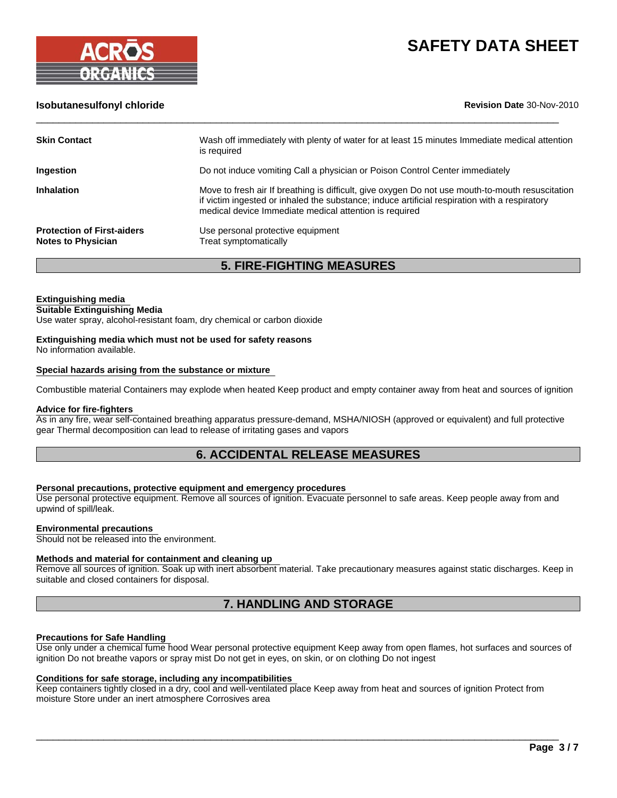

### **Isobutanesulfonyl chloride Revision Date** 30-Nov-2010

| <b>Skin Contact</b>                                            | Wash off immediately with plenty of water for at least 15 minutes Immediate medical attention<br>is required                                                                                                                                                |
|----------------------------------------------------------------|-------------------------------------------------------------------------------------------------------------------------------------------------------------------------------------------------------------------------------------------------------------|
| Ingestion                                                      | Do not induce vomiting Call a physician or Poison Control Center immediately                                                                                                                                                                                |
| <b>Inhalation</b>                                              | Move to fresh air If breathing is difficult, give oxygen Do not use mouth-to-mouth resuscitation<br>if victim ingested or inhaled the substance; induce artificial respiration with a respiratory<br>medical device Immediate medical attention is required |
| <b>Protection of First-aiders</b><br><b>Notes to Physician</b> | Use personal protective equipment<br>Treat symptomatically                                                                                                                                                                                                  |

 $\Box$ 

**5. FIRE-FIGHTING MEASURES**

#### **Extinguishing media**

#### **Suitable Extinguishing Media**

Use water spray, alcohol-resistant foam, dry chemical or carbon dioxide

### **Extinguishing media which must not be used for safety reasons**

No information available.

#### **Special hazards arising from the substance or mixture**

Combustible material Containers may explode when heated Keep product and empty container away from heat and sources of ignition

#### **Advice for fire-fighters**

As in any fire, wear self-contained breathing apparatus pressure-demand, MSHA/NIOSH (approved or equivalent) and full protective gear Thermal decomposition can lead to release of irritating gases and vapors

# **6. ACCIDENTAL RELEASE MEASURES**

#### **Personal precautions, protective equipment and emergency procedures**

Use personal protective equipment. Remove all sources of ignition. Evacuate personnel to safe areas. Keep people away from and upwind of spill/leak.

#### **Environmental precautions**

Should not be released into the environment.

#### **Methods and material for containment and cleaning up**

Remove all sources of ignition. Soak up with inert absorbent material. Take precautionary measures against static discharges. Keep in suitable and closed containers for disposal.

## **7. HANDLING AND STORAGE**

#### **Precautions for Safe Handling**

Use only under a chemical fume hood Wear personal protective equipment Keep away from open flames, hot surfaces and sources of ignition Do not breathe vapors or spray mist Do not get in eyes, on skin, or on clothing Do not ingest

#### **Conditions for safe storage, including any incompatibilities**

Keep containers tightly closed in a dry, cool and well-ventilated place Keep away from heat and sources of ignition Protect from moisture Store under an inert atmosphere Corrosives area

 $\Box$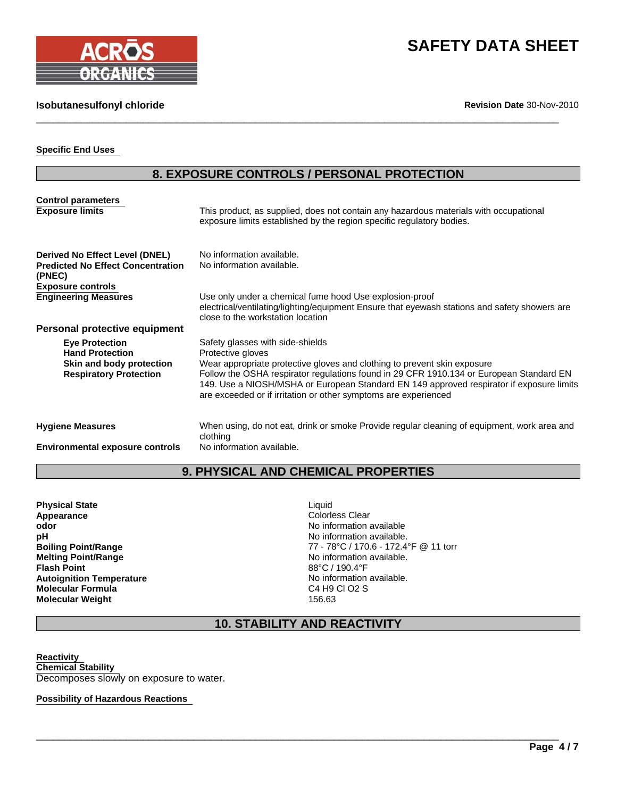

#### **Isobutanesulfonyl chloride**

**Revision Date** 30-Nov-2010

#### **Specific End Uses**

# **8. EXPOSURE CONTROLS / PERSONAL PROTECTION**

 $\Box$ 

| <b>Control parameters</b>                                 |                                                                                                                                                                                                                                                                                                                                    |
|-----------------------------------------------------------|------------------------------------------------------------------------------------------------------------------------------------------------------------------------------------------------------------------------------------------------------------------------------------------------------------------------------------|
| <b>Exposure limits</b>                                    | This product, as supplied, does not contain any hazardous materials with occupational<br>exposure limits established by the region specific regulatory bodies.                                                                                                                                                                     |
| Derived No Effect Level (DNEL)                            | No information available.                                                                                                                                                                                                                                                                                                          |
| <b>Predicted No Effect Concentration</b><br>(PNEC)        | No information available.                                                                                                                                                                                                                                                                                                          |
| <b>Exposure controls</b>                                  |                                                                                                                                                                                                                                                                                                                                    |
| <b>Engineering Measures</b>                               | Use only under a chemical fume hood Use explosion-proof<br>electrical/ventilating/lighting/equipment Ensure that eyewash stations and safety showers are<br>close to the workstation location                                                                                                                                      |
| Personal protective equipment                             |                                                                                                                                                                                                                                                                                                                                    |
| <b>Eye Protection</b><br><b>Hand Protection</b>           | Safety glasses with side-shields<br>Protective gloves                                                                                                                                                                                                                                                                              |
| Skin and body protection<br><b>Respiratory Protection</b> | Wear appropriate protective gloves and clothing to prevent skin exposure<br>Follow the OSHA respirator regulations found in 29 CFR 1910.134 or European Standard EN<br>149. Use a NIOSH/MSHA or European Standard EN 149 approved respirator if exposure limits<br>are exceeded or if irritation or other symptoms are experienced |
| <b>Hygiene Measures</b>                                   | When using, do not eat, drink or smoke Provide regular cleaning of equipment, work area and<br>clothing                                                                                                                                                                                                                            |

**Environmental exposure controls** No information available.

# **9. PHYSICAL AND CHEMICAL PROPERTIES**

**Physical State Liquid Liquid Appearance Colorless Clear**<br> **Appearance** Colorless Clear<br> **Color** Color **odor odor odor odor odor odor odor odor odor odor odor odor odor odor odor odor odor odor odor odor odor odor odor odor odor odor odor odor odor odor odor odor pH** No information available. **Flash Point**<br> **Autoignition Temperature**<br> **Autoignition Temperature**<br> **Autoignition Temperature Autoignition Temperature No information available with the Solution Automation Automation Automation Automation**<br> **Molecular Formula Molecular Formula**<br> **Molecular Weight**<br> **C**4 H9 C4 H9 C4 H9 C4 H9 C4 H9 C4 H9 C4 H9 C4 H9 C4 H9 C4 H9 C56.63 **Molecular Weight** 

**Boiling Point/Range**<br> **Melting Point/Range**<br> **Melting Point/Range**<br> **Melting Point/Range**<br> **Melting Point/Range** No information available.<br>88°C / 190.4°F

# **10. STABILITY AND REACTIVITY**

 $\Box$ 

**Reactivity Chemical Stability**  Decomposes slowly on exposure to water.

**Possibility of Hazardous Reactions**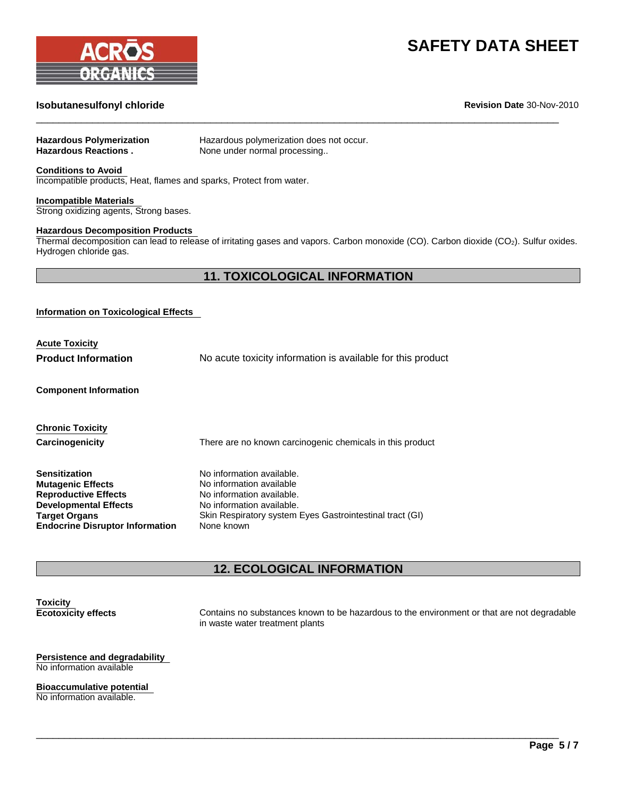

# **Isobutanesulfonyl chloride Revision Date** 30-Nov-2010

| <b>Hazardous Polymerization</b><br><b>Hazardous Reactions.</b>                                                                                                                                                         | Hazardous polymerization does not occur.<br>None under normal processing                                                                                                                  |  |
|------------------------------------------------------------------------------------------------------------------------------------------------------------------------------------------------------------------------|-------------------------------------------------------------------------------------------------------------------------------------------------------------------------------------------|--|
| <b>Conditions to Avoid</b><br>Incompatible products, Heat, flames and sparks, Protect from water.                                                                                                                      |                                                                                                                                                                                           |  |
| <b>Incompatible Materials</b><br>Strong oxidizing agents, Strong bases.                                                                                                                                                |                                                                                                                                                                                           |  |
| <b>Hazardous Decomposition Products</b><br>Thermal decomposition can lead to release of irritating gases and vapors. Carbon monoxide (CO). Carbon dioxide (CO <sub>2</sub> ). Sulfur oxides.<br>Hydrogen chloride gas. |                                                                                                                                                                                           |  |
|                                                                                                                                                                                                                        | <b>11. TOXICOLOGICAL INFORMATION</b>                                                                                                                                                      |  |
| <b>Information on Toxicological Effects</b><br><b>Acute Toxicity</b><br><b>Product Information</b>                                                                                                                     | No acute toxicity information is available for this product                                                                                                                               |  |
| <b>Component Information</b>                                                                                                                                                                                           |                                                                                                                                                                                           |  |
| <b>Chronic Toxicity</b><br>Carcinogenicity                                                                                                                                                                             | There are no known carcinogenic chemicals in this product                                                                                                                                 |  |
| <b>Sensitization</b><br><b>Mutagenic Effects</b><br><b>Reproductive Effects</b><br><b>Developmental Effects</b><br><b>Target Organs</b><br><b>Endocrine Disruptor Information</b>                                      | No information available.<br>No information available<br>No information available.<br>No information available.<br>Skin Respiratory system Eyes Gastrointestinal tract (GI)<br>None known |  |

 $\Box$ 

# **12. ECOLOGICAL INFORMATION**

 $\Box$ 

**Toxicity**<br>**Ecotoxicity effects** 

Contains no substances known to be hazardous to the environment or that are not degradable in waste water treatment plants

**Persistence and degradability**  No information available

**Bioaccumulative potential**  No information available.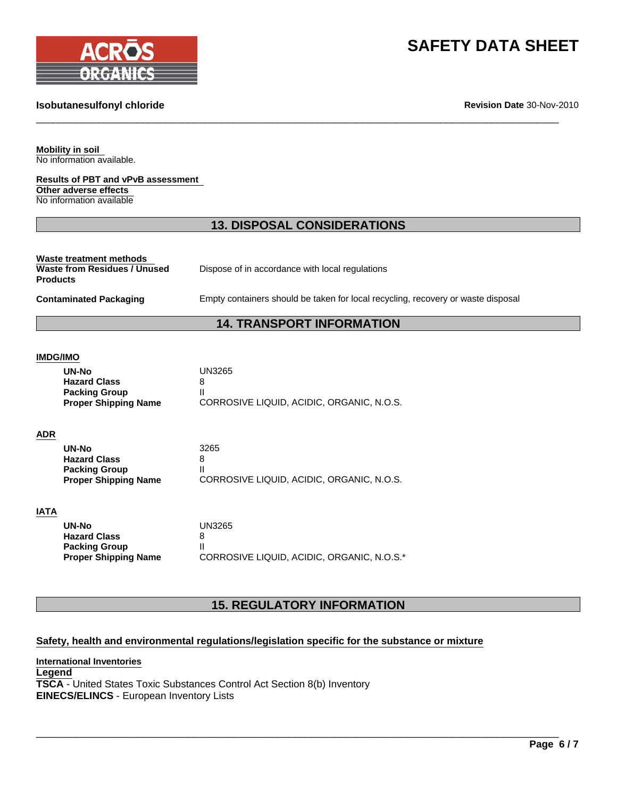

#### **Isobutanesulfonyl chloride**

**Revision Date** 30-Nov-2010

**Mobility in soil**  No information available.

**Results of PBT and vPvB assessment Other adverse effects**  No information available

## **13. DISPOSAL CONSIDERATIONS**

 $\Box$ 

**Waste treatment methods Waste from Residues / Unused Products**

Dispose of in accordance with local regulations

Contaminated Packaging **Empty containers should be taken for local recycling, recovery or waste disposal** 

# **14. TRANSPORT INFORMATION**

#### **IMDG/IMO**

| UN-No                       | <b>UN3265</b>                             |
|-----------------------------|-------------------------------------------|
| <b>Hazard Class</b>         |                                           |
| <b>Packing Group</b>        |                                           |
| <b>Proper Shipping Name</b> | CORROSIVE LIQUID, ACIDIC, ORGANIC, N.O.S. |
|                             |                                           |

#### **ADR**

| UN-No                       | 3265                                      |
|-----------------------------|-------------------------------------------|
| <b>Hazard Class</b>         |                                           |
| <b>Packing Group</b>        |                                           |
| <b>Proper Shipping Name</b> | CORROSIVE LIQUID, ACIDIC, ORGANIC, N.O.S. |

#### **IATA**

| UN-No                       | UN3265                                     |
|-----------------------------|--------------------------------------------|
| <b>Hazard Class</b>         |                                            |
| <b>Packing Group</b>        |                                            |
| <b>Proper Shipping Name</b> | CORROSIVE LIQUID, ACIDIC, ORGANIC, N.O.S.* |

# **15. REGULATORY INFORMATION**

\_\_\_\_\_\_\_\_\_\_\_\_\_\_\_\_\_\_\_\_\_\_\_\_\_\_\_\_\_\_\_\_\_\_\_\_\_\_\_\_\_\_\_\_\_\_\_\_\_\_\_\_\_\_\_\_\_\_\_\_\_\_\_\_\_\_\_\_\_\_\_\_\_\_\_\_\_\_\_\_\_\_\_\_\_\_\_\_\_\_\_\_\_

#### **Safety, health and environmental regulations/legislation specific for the substance or mixture**

**International Inventories Legend TSCA** - United States Toxic Substances Control Act Section 8(b) Inventory **EINECS/ELINCS** - European Inventory Lists